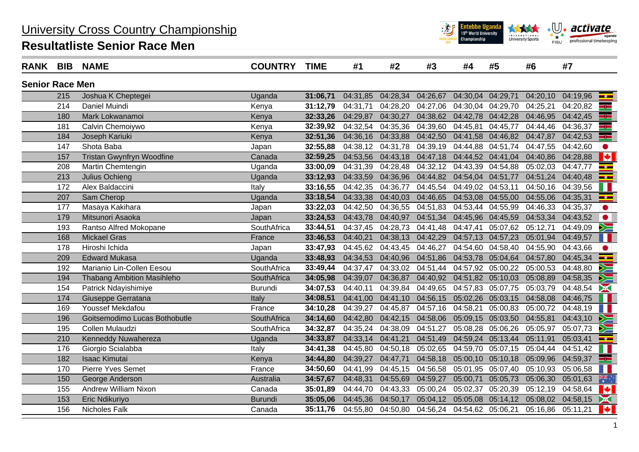## University Cross Country Championship

## **Resultatliste Senior Race Men**



| <b>RANK</b>            | <b>BIB</b> | <b>NAME</b>                       | <b>COUNTRY</b> | <b>TIME</b> | #1       | #2       | #3                                  | #4       | #5                | #6       | #7                                   |
|------------------------|------------|-----------------------------------|----------------|-------------|----------|----------|-------------------------------------|----------|-------------------|----------|--------------------------------------|
| <b>Senior Race Men</b> |            |                                   |                |             |          |          |                                     |          |                   |          |                                      |
|                        | 215        | Joshua K Cheptegei                | Uganda         | 31:06,71    | 04:31,85 | 04:28,34 | 04:26,67                            | 04:30,04 | 04:29,71          | 04:20,10 | 04:19,96<br>$\frac{1}{2}$            |
|                        | 214        | Daniel Muindi                     | Kenya          | 31:12,79    | 04:31.71 | 04:28,20 | 04:27,06                            | 04:30,04 | 04:29,70          | 04:25,21 | البا<br>04:20,82                     |
|                        | 180        | Mark Lokwanamoi                   | Kenya          | 32:33,26    | 04:29,87 | 04:30,27 | 04:38,62                            | 04:42,78 | 04:42,28          | 04:46,95 | ۳<br>04:42,45                        |
|                        | 181        | Calvin Chemoiywo                  | Kenya          | 32:39,92    | 04:32,54 | 04:35,36 | 04:39,60                            | 04:45,81 | 04:45,77          | 04:44,46 | 4<br>04:36,37                        |
|                        | 184        | Joseph Kariuki                    | Kenya          | 32:51,36    | 04:36,16 | 04:33,88 | 04:42,50                            | 04:41,58 | 04:46,82          | 04:47,87 | 32<br>04:42,53                       |
|                        | 147        | Shota Baba                        | Japan          | 32:55,88    | 04:38,12 | 04:31,78 | 04:39,19                            | 04:44,88 | 04:51,74          | 04:47,55 | 04:42,60                             |
|                        | 157        | <b>Tristan Gwynfryn Woodfine</b>  | Canada         | 32:59,25    | 04:53,56 | 04:43,18 | 04:47,18                            | 04:44,52 | 04:41,04          | 04:40,86 | ¥<br>04:28,88                        |
|                        | 208        | Martin Chemtengin                 | Uganda         | 33:00,09    | 04:31,39 | 04:28,48 | 04:32,12                            | 04:43,39 | 04:54,88          | 05:02,03 | $\overline{\phantom{a}}$<br>04:47,77 |
|                        | 213        | Julius Ochieng                    | Uganda         | 33:12,93    | 04:33,59 | 04:36,96 | 04:44,82                            |          | 04:54,04 04:51,77 | 04:51,24 | 04:40,48<br>$\overline{\phantom{a}}$ |
|                        | 172        | Alex Baldaccini                   | Italy          | 33:16,55    | 04:42,35 | 04:36,77 | 04:45,54                            | 04:49,02 | 04:53,11          | 04:50,16 | 04:39,56                             |
|                        | 207        | Sam Cherop                        | Uganda         | 33:18,54    | 04:33,38 | 04:40,03 | 04:46,65                            | 04:53,08 | 04:55,00          | 04:55,06 | 04:35,31<br>$\frac{1}{2}$            |
|                        | 177        | Masaya Kakihara                   | Japan          | 33:22,03    | 04:42,50 | 04:36,55 | 04:51,83                            | 04:53,44 | 04:55,99          | 04:46,33 | 04:35,37                             |
|                        | 179        | Mitsunori Asaoka                  | Japan          | 33:24,53    | 04:43,78 | 04:40,97 | 04:51,34                            | 04:45,96 | 04:45,59          | 04:53,34 | 04:43,52<br>$\bullet$                |
|                        | 193        | Rantso Alfred Mokopane            | SouthAfrica    | 33:44,51    | 04:37,45 | 04:28,73 | 04:41,48                            | 04:47,41 | 05:07,62          | 05:12,71 | 04:49,09                             |
|                        | 168        | <b>Mickael Gras</b>               | France         | 33:46,53    | 04:40,21 | 04:38,13 | 04:42,29                            | 04:57,13 | 04:57,23          | 05:01,94 | 04:49,57                             |
|                        | 178        | Hiroshi Ichida                    | Japan          | 33:47,93    | 04:45,62 | 04:43,45 | 04:46,27                            | 04:54,60 | 04:58,40          | 04:55,90 | 04:43,66                             |
|                        | 209        | <b>Edward Mukasa</b>              | Uganda         | 33:48,93    | 04:34,53 | 04:40,96 | 04:51,86                            | 04:53,78 | 05:04,64          | 04:57,80 | 04:45,34<br>$-e$                     |
|                        | 192        | Marianio Lin-Collen Eesou         | SouthAfrica    | 33:49,44    | 04:37,47 | 04:33,02 | 04:51,44                            | 04:57,92 | 05:00,22          | 05:00,53 | Ý<br>04:48,80                        |
|                        | 194        | <b>Thabang Ambition Masihleho</b> | SouthAfrica    | 34:05,98    | 04:39,07 | 04:36,87 | 04:40,92                            | 04:51,82 | 05:10,03          | 05:08,89 | 04:58,35                             |
|                        | 154        | Patrick Ndayishimiye              | <b>Burundi</b> | 34:07,53    | 04:40,11 | 04:39,84 | 04:49,65                            | 04:57,83 | 05:07,75          | 05:03,79 | 04:48,54<br>X                        |
|                        | 174        | Giuseppe Gerratana                | Italy          | 34:08,51    | 04:41,00 | 04:41,10 | 04:56,15                            | 05:02,26 | 05:03,15          | 04:58,08 | 04:46,75                             |
|                        | 169        | <b>Youssef Mekdafou</b>           | France         | 34:10,28    | 04:39,27 | 04:45,87 | 04:57,16                            | 04:58,21 | 05:00,83          | 05:00,72 | 04:48,19                             |
|                        | 196        | Goitsemodimo Lucas Bothobutle     | SouthAfrica    | 34:14,60    | 04:42,80 | 04:42,15 | 04:58,06                            | 05:09,15 | 05:03,50          | 04:55,81 | 04:43,10                             |
|                        | 195        | Collen Mulaudzi                   | SouthAfrica    | 34:32,87    | 04:35,24 | 04:38,09 | 04:51,27                            | 05:08,28 | 05:06,26          | 05:05,97 | 05:07,73                             |
|                        | 210        | Kenneddy Nuwahereza               | Uganda         | 34:33,87    | 04:33,14 | 04:41,21 | 04:51,49                            | 04:59,24 | 05:13,44          | 05:11,91 | 05:03,41<br>$-e$                     |
|                        | 176        | Giorgio Scialabba                 | Italy          | 34:41,38    | 04:45,80 | 04:50,18 | 05:02,65                            | 04:59,70 | 05:07,15          | 05:04,44 | 04:51,42                             |
|                        | 182        | <b>Isaac Kimutai</b>              | Kenya          | 34:44,80    | 04:39,27 | 04:47,71 | 04:58,18                            | 05:00,10 | 05:10,18          | 05:09,96 | 04:59,37<br>35                       |
|                        | 170        | Pierre Yves Semet                 | France         | 34:50,60    | 04:41,99 | 04:45,15 | 04:56,58                            | 05:01,95 | 05:07,40          | 05:10,93 | 05:06,58                             |
|                        | 150        | George Anderson                   | Australia      | 34:57,67    | 04:48,31 | 04:55,69 | 04:59,27                            | 05:00,71 | 05:05,73          | 05:06,30 | 米<br>05:01,63                        |
|                        | 155        | Andrew William Nixon              | Canada         | 35:01,89    | 04:44,70 | 04:43,33 | 05:00,24                            | 05:02,37 | 05:20,39          | 05:12,19 | ¥<br>04:58,64                        |
|                        | 153        | Eric Ndikuriyo                    | <b>Burundi</b> | 35:05,06    | 04:45,36 | 04:50,17 | 05:04,12                            | 05:05,08 | 05:14,12          | 05:08,02 | 04:58,15<br>X                        |
|                        | 156        | Nicholes Falk                     | Canada         | 35:11,76    | 04:55,80 |          | 04:50,80 04:56,24 04:54,62 05:06,21 |          |                   | 05:16,86 | <b>Maria</b><br>05:11,21             |